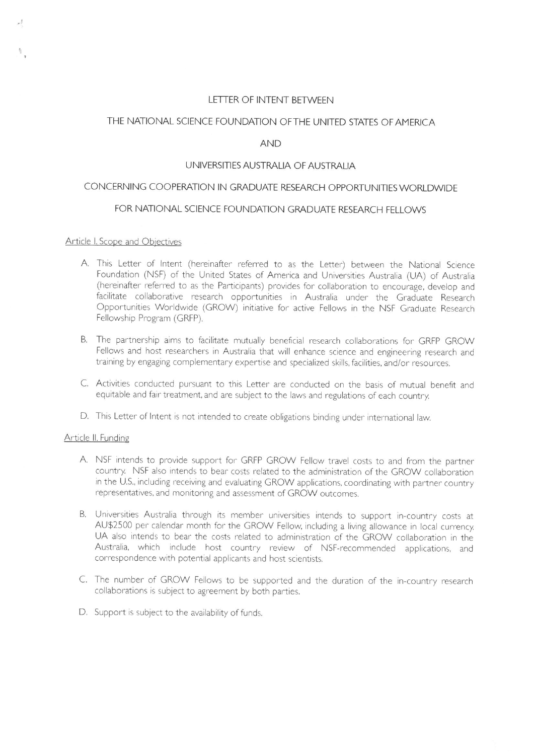### LETTER OF INTENT BFTWEEN

### THE NATIONAL SCIENCE FOUNDATION OFTHE UNITED STATES OF AMERICA

## AND

## UNIVERSITIES AUSTRALIA OF AUSTRALIA

# CONCERNING COOPERATION IN GRADUATE RESEARCH OPPORTUNITIES WORLDWIDE

## FOR NATIONAL SCIENCE FOUNDATION GRADUATE RESEARCH FELLOWS

### Article I. Scope and Obiectives

- A. This Letter of Intent (hereinafter referred to as the Letter) between the National Science Foundation (NSF) of the United States of America and Universities Australia (UA) of Australia (hereinafter referred to as the Participants) provides for collaboration to encourage, develop and facilitate collaborative research opportunities in Australia under the Graduate Research Opportunities Worldwide (GROW) initiative for active Fellows in the NSF Graduate Research Fellowship Program (GRFP).
- B. The partnership aims to facilitate mutually beneficial research collaborations for GRFP GROW Fellows and host researchers in Australia that will enhance science and engineering research and training by engaging complementary expertise and specialized skills, facilities, and/or resources.
- C. Activities conducted pursuant to this Letter are conducted on the basis of mutual benefit and equitable and fair treatment, and are subject to the laws and regulations of each country.
- D. This Letter of Intent is not intended to create obligations binding under international law.

#### Article II. Funding

- A. NSF intends to provide support for GRFP GROW Fellow travel costs to and from the partner country NSF also intends to bear costs related to the administration of the GROW collaboration in the U.S., including receiving and evaluating GROW applications, coordinating with partner country representatives, and monitoring and assessment of GROW outcomes.
- B. Universities Australia through its member universities intends to support in-country costs at AU\$2500 per calendar month for the GROW Fellow, including a living allowance in local currency, UA also intends to bear the costs related to administration of the GROW collaboration in the Australia, which include host country review of NSF-recommended applications, and correspondence with potential applicants and host scientists.
- C. The number of GROW Fellows to be supported and the duration of the in-country research collaborations is subject to agreement by both parties,
- D. Support is subject to the availability of funds.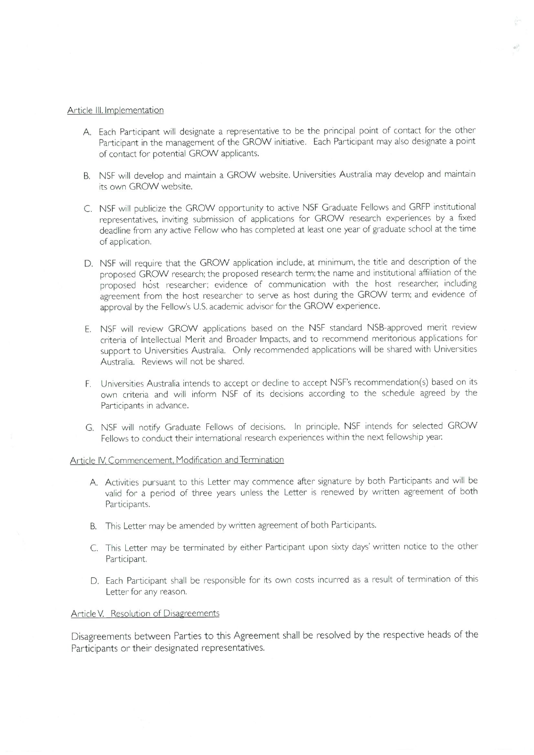#### Article III. Implementation

- A. Each Participant will designate a representative to be the principal point of contact for the other Participant in the management of the GROW initiative. Each Participant may also designate a point of contact for potential GROW applicants,
- B. NSF will develop and maintain a GROW website. Universities Australia may develop and maintain its own GROW website.
- C. NSF will publicize the GROW opportunity to active NSF Graduate Fellows and GRFP institutional representatives, inviting submission of applications for GROW research experiences by a fixed deadline from any active Fellow who has completed at least one year of graduate school at the time of application.
- D. NSF will require that the GROW application include, at minimum, the title and description of the proposed GROW research; the proposed research term; the name and institutional affiliation of the proposed host researcher; evidence of communication with the host researcher, including agreement from the host researcher to serve as host during the GROW term: and evidence of approval by the Fellow's U.S. academic advisor for the GROW experience.
- E. NSF will review GROW applications based on the NSF standard NSB-approved merit review criteria of Intellectual Merit and Broader Impacts, and to recommend meritorious applications for support to Universities Australia. Only recommended applications will be shared with Universities Australia, Reviews will not be shared.
- F. Universities Australia intends to accept or decline to accept NSF's recommendation(s) based on its own criteria and will inform NSF of its decisions according to the schedule agreed by the Participants in advance.
- G. NSF will notify Graduate Fellows of decisions. In principle, NSF intends for selected GROW Fellows to conduct their international research experiences within the next fellowship year.

#### Article IV. Commencement, Modification and Termination

- A. Activities pursuant to this Letter may commence after signature by both Participants and will be valid for a period of three years unless the Letter is renewed by written agreement of both Participants.
- B. This Letter may be amended by written agreement of both Participants.
- C. This Letter may be terminated by either Participant upon sixty days' written notice to the other Participant.
- D. Each Participant shall be responsible for its own costs incurred as a result of termination of this Letter for any reason,

#### Article V. Resolution of Disagreements

Disagreements between Parties to this Agreement shall be resolved by the respective heads of-the Participants or their designated representatives.